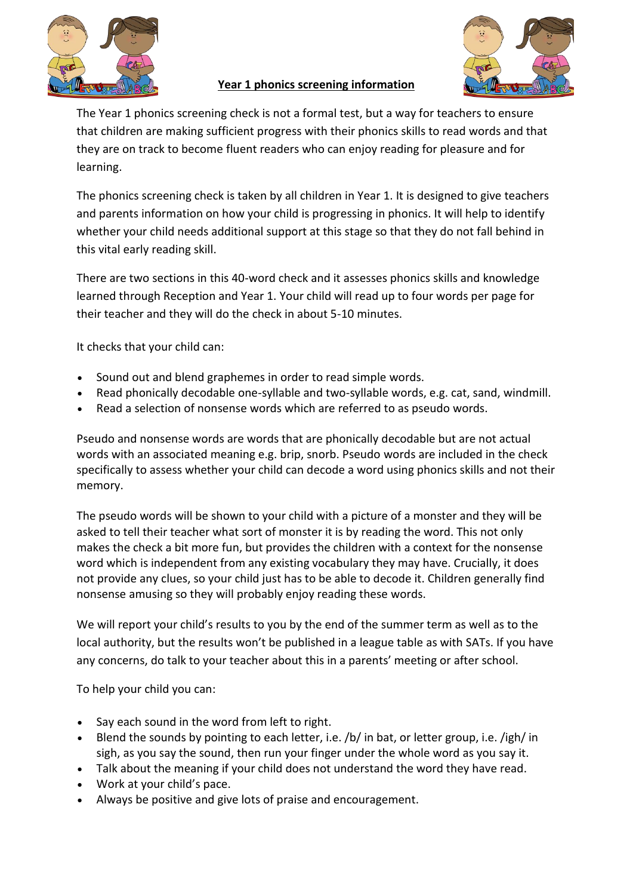

## **Year 1 phonics screening information**



The Year 1 phonics screening check is not a formal test, but a way for teachers to ensure that children are making sufficient progress with their phonics skills to read words and that they are on track to become fluent readers who can enjoy reading for pleasure and for learning.

The phonics screening check is taken by all children in Year 1. It is designed to give teachers and parents information on how your child is progressing in phonics. It will help to identify whether your child needs additional support at this stage so that they do not fall behind in this vital early reading skill.

There are two sections in this 40-word check and it assesses phonics skills and knowledge learned through Reception and Year 1. Your child will read up to four words per page for their teacher and they will do the check in about 5-10 minutes.

It checks that your child can:

- Sound out and blend graphemes in order to read simple words.
- Read phonically decodable one-syllable and two-syllable words, e.g. cat, sand, windmill.
- Read a selection of nonsense words which are referred to as pseudo words.

Pseudo and nonsense words are words that are phonically decodable but are not actual words with an associated meaning e.g. brip, snorb. Pseudo words are included in the check specifically to assess whether your child can decode a word using phonics skills and not their memory.

The pseudo words will be shown to your child with a picture of a monster and they will be asked to tell their teacher what sort of monster it is by reading the word. This not only makes the check a bit more fun, but provides the children with a context for the nonsense word which is independent from any existing vocabulary they may have. Crucially, it does not provide any clues, so your child just has to be able to decode it. Children generally find nonsense amusing so they will probably enjoy reading these words.

We will report your child's results to you by the end of the summer term as well as to the local authority, but the results won't be published in a league table as with SATs. If you have any concerns, do talk to your teacher about this in a parents' meeting or after school.

To help your child you can:

- Say each sound in the word from left to right.
- Blend the sounds by pointing to each letter, i.e. /b/ in bat, or letter group, i.e. /igh/ in sigh, as you say the sound, then run your finger under the whole word as you say it.
- Talk about the meaning if your child does not understand the word they have read.
- Work at your child's pace.
- Always be positive and give lots of praise and encouragement.